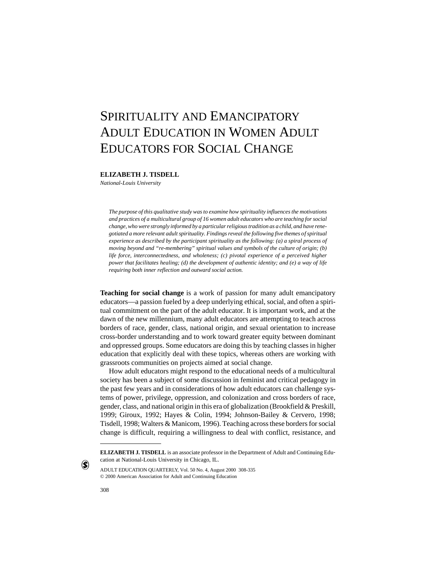# SPIRITUALITY AND EMANCIPATORY ADULT EDUCATION IN WOMEN ADULT EDUCATORS FOR SOCIAL CHANGE

# **ELIZABETH J. TISDELL**

*Na tional-Louis Uni ver sity*

The purpose of this qualitative study was to examine how spirituality influences the motivations *and prac tices of a multi cul tural group of 16 women adult edu ca tors who are teach ing for social change, who were strongly informed by a particular religious tradition as a child, and have renego ti ated a more rel e vant adult spir i tu al ity. Find ings reveal the fol low ing five themes of spir i tual experience as described by the participant spirituality as the following: (a) a spiral process of moving beyond and "re-membering" spiritual values and symbols of the culture of origin; (b) life force, interconnectedness, and wholeness; (c) pivotal experience of a perceived higher power that facilitates healing; (d) the development of authentic identity; and (e) a way of life requiring both inner reflection and outward social action.* 

**Teaching for social change** is a work of passion for many adult emancipatory educators—a passion fueled by a deep underlying ethical, social, and often a spiritual commitment on the part of the adult educator. It is important work, and at the dawn of the new millennium, many adult educators are attempting to teach across borders of race, gender, class, national origin, and sexual orientation to increase cross-border understanding and to work toward greater equity between dominant and oppressed groups. Some educators are doing this by teaching classes in higher education that explicitly deal with these topics, whereas others are working with grassroots communities on projects aimed at social change.

How adult educators might respond to the educational needs of a multicultural society has been a subject of some discussion in feminist and critical pedagogy in the past few years and in considerations of how adult educators can challenge systems of power, privilege, oppression, and colonization and cross borders of race, gender, class, and national origin in this era of globalization (Brookfield  $&$  Preskill, 1999; Giroux, 1992; Hayes & Colin, 1994; Johnson-Bailey & Cervero, 1998; Tisdell, 1998; Walters & Manicom, 1996). Teaching across these borders for social change is difficult, requiring a willingness to deal with conflict, resistance, and

308

**ELIZABETH J. TISDELL** is an associate professor in the Department of Adult and Continuing Education at National-Louis University in Chicago, IL.

ADULT EDUCATION QUARTERLY, Vol. 50 No. 4, August 2000 308-335 © 2000 American Association for Adult and Continuing Education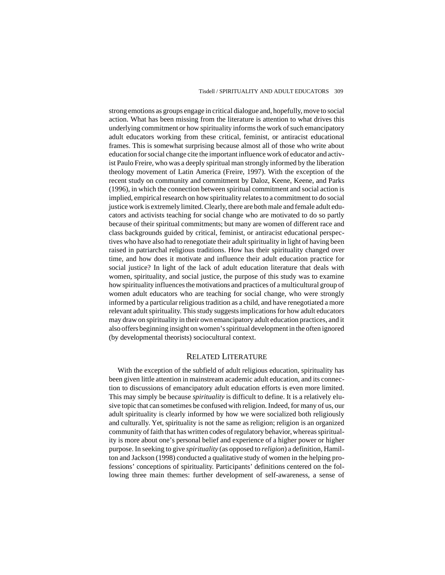strong emotions as groups engage in critical dialogue and, hopefully, move to social action. What has been missing from the literature is attention to what drives this underlying commitment or how spirituality informs the work of such emancipatory adult educators working from these critical, feminist, or antiracist educational frames. This is somewhat surprising because almost all of those who write about education for social change cite the important influence work of educator and activist Paulo Freire, who was a deeply spiritual man strongly informed by the liberation theology movement of Latin America (Freire, 1997). With the exception of the recent study on community and commitment by Daloz, Keene, Keene, and Parks  $(1996)$ , in which the connection between spiritual commitment and social action is implied, empirical research on how spirituality relates to a commitment to do social justice work is extremely limited. Clearly, there are both male and female adult educators and activists teaching for social change who are motivated to do so partly because of their spiritual commitments; but many are women of different race and class backgrounds guided by critical, feminist, or antiracist educational perspectives who have also had to renegotiate their adult spirituality in light of having been raised in patriarchal religious traditions. How has their spirituality changed over time, and how does it motivate and influence their adult education practice for social justice? In light of the lack of adult education literature that deals with women, spirituality, and social justice, the purpose of this study was to examine how spirituality influences the motivations and practices of a multicultural group of women adult educators who are teaching for social change, who were strongly informed by a particular religious tradition as a child, and have renegotiated a more relevant adult spirituality. This study suggests implications for how adult educators may draw on spirituality in their own emancipatory adult education practices, and it also offers beginning insight on women's spiritual development in the often ignored (by developmental theorists) sociocultural context.

# **RELATED LITERATURE**

With the exception of the subfield of adult religious education, spirituality has been given little attention in main stream academic adult education, and its connection to discussions of emancipatory adult education efforts is even more limited. This may simply be because *spirituality* is difficult to define. It is a relatively elusive topic that can sometimes be confused with religion. Indeed, for many of us, our adult spirituality is clearly informed by how we were socialized both religiously and culturally. Yet, spirituality is not the same as religion; religion is an organized community of faith that has written codes of regulatory behavior, whereas spirituality is more about one's personal belief and experience of a higher power or higher pur pose. In seeking to give *spirituality* (as opposed to *religion*) a definition, Hamilton and Jackson (1998) conducted a qualitative study of women in the helping professions' conceptions of spirituality. Participants' definitions centered on the following three main themes: further development of self-awareness, a sense of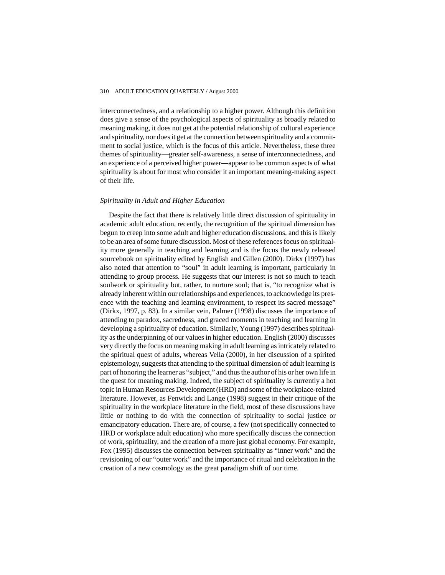interconnectedness, and a relationship to a higher power. Although this definition does give a sense of the psychological aspects of spirituality as broadly related to meaning making, it does not get at the potential relationship of cultural experience and spirituality, nor does it get at the connection between spirituality and a commitment to social justice, which is the focus of this article. Nevertheless, these three themes of spirituality—greater self-awareness, a sense of interconnectedness, and an experience of a perceived higher power—appear to be common aspects of what spirituality is about for most who consider it an important meaning-making aspect of their life.

# *Spirituality in Adult and Higher Education*

Despite the fact that there is relatively little direct discussion of spirituality in academic adult education, recently, the recognition of the spiritual dimension has begun to creep into some adult and higher education discussions, and this is likely to be an area of some future discussion. Most of these references focus on spirituality more generally in teaching and learning and is the focus the newly released sourcebook on spirituality edited by English and Gillen (2000). Dirkx (1997) has also noted that attention to "soul" in adult learning is important, particularly in attending to group process. He suggests that our interest is not so much to teach soulwork or spirituality but, rather, to nurture soul; that is, "to recognize what is already inherent within our relationships and experiences, to acknowledge its presence with the teaching and learning environment, to respect its sacred message" (Dirkx, 1997, p. 83). In a similar vein, Palmer (1998) discusses the importance of attending to paradox, sacredness, and graced moments in teaching and learning in developing a spirituality of education. Similarly, Young (1997) describes spirituality as the underpinning of our values in higher education. English (2000) discusses very directly the focus on meaning making in adult learning as intricately related to the spiritual quest of adults, whereas Vella (2000), in her discussion of a spirited epistemology, suggests that attending to the spiritual dimension of adult learning is part of honoring the learner as "subject," and thus the author of his or her own life in the quest for meaning making. Indeed, the subject of spirituality is currently a hot topic in Human Resources Development (HRD) and some of the workplace-related literature. However, as Fenwick and Lange (1998) suggest in their critique of the spirituality in the workplace literature in the field, most of these discussions have little or nothing to do with the connection of spirituality to social justice or emancipatory education. There are, of course, a few (not specifically connected to HRD or work place adult education) who more specifically discuss the connection of work, spirituality, and the creation of a more just global economy. For example, Fox (1995) discusses the connection between spirituality as "inner work" and the revisioning of our "outer work" and the importance of ritual and celebration in the creation of a new cosmology as the great paradigm shift of our time.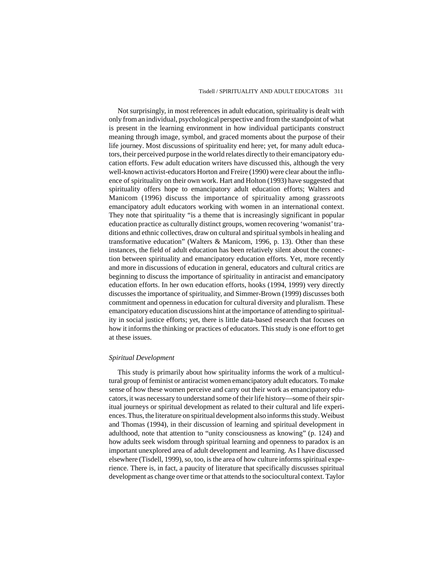#### Tisdell / SPIRITUALITY AND ADULT EDUCATORS 311

Not surprisingly, in most references in adult education, spirituality is dealt with only from an individual, psychological perspective and from the standpoint of what is present in the learning environment in how individual participants construct meaning through image, symbol, and graced moments about the purpose of their life journey. Most discussions of spirituality end here; yet, for many adult educators, their perceived purpose in the world relates directly to their emancipatory education efforts. Few adult education writers have discussed this, although the very well-known activist-educators Horton and Freire (1990) were clear about the influence of spirituality on their own work. Hart and Holton (1993) have suggested that spirituality offers hope to emancipatory adult education efforts; Walters and Manicom (1996) discuss the importance of spirituality among grassroots emancipatory adult educators working with women in an international context. They note that spirituality "is a theme that is increasingly significant in popular education practice as culturally distinct groups, women recovering 'womanist' traditions and ethnic collectives, draw on cultural and spiritual symbols in healing and transformative education" (Walters & Manicom, 1996, p. 13). Other than these instances, the field of adult education has been relatively silent about the connection between spirituality and emancipatory education efforts. Yet, more recently and more in discussions of education in general, educators and cultural critics are beginning to discuss the importance of spirituality in antiracist and emancipatory education efforts. In her own education efforts, hooks (1994, 1999) very directly discusses the importance of spirituality, and Simmer-Brown (1999) discusses both commitment and openness in education for cultural diversity and pluralism. These emancipatory education discussions hint at the importance of attending to spirituality in social justice efforts; yet, there is little data-based research that focuses on how it informs the thinking or practices of educators. This study is one effort to get at these issues.

## *Spir i tual De vel op ment*

This study is primarily about how spirituality informs the work of a multicultural group of feminist or antiracist women emancipatory adult educators. To make sense of how these women perceive and carry out their work as emancipatory educators, it was necessary to understand some of their life history—some of their spiritual journeys or spiritual development as related to their cultural and life experiences. Thus, the literature on spiritual development also informs this study. Weibust and Thomas (1994), in their discussion of learning and spiritual development in adulthood, note that attention to "unity consciousness as knowing" (p. 124) and how adults seek wisdom through spiritual learning and openness to paradox is an important unexplored area of adult development and learning. As I have discussed elsewhere (Tisdell, 1999), so, too, is the area of how culture informs spiritual experience. There is, in fact, a paucity of literature that specifically discusses spiritual development as change over time or that attends to the sociocultural context. Taylor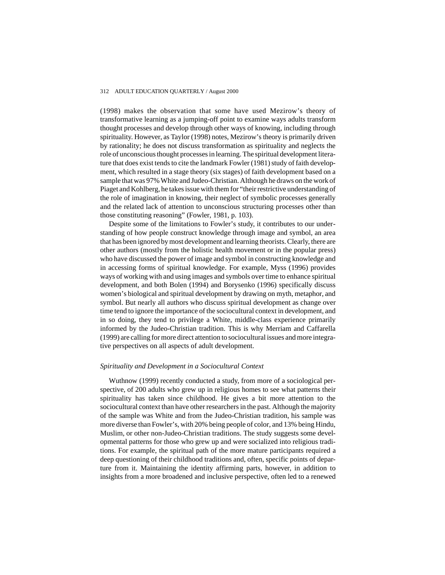$(1998)$  makes the observation that some have used Mezirow's theory of transformative learning as a jumping-off point to examine ways adults transform thought processes and develop through other ways of knowing, including through spirituality. However, as Taylor (1998) notes, Mezirow's theory is primarily driven by rationality; he does not discuss transformation as spirituality and neglects the role of unconscious thought processes in learning. The spiritual development literature that does exist tends to cite the landmark Fowler (1981) study of faith development, which resulted in a stage theory (six stages) of faith development based on a sample that was 97% White and Judeo-Christian. Although he draws on the work of Piaget and Kohlberg, he takes issue with them for "their restrictive understanding of the role of imagination in knowing, their neglect of symbolic processes generally and the related lack of attention to unconscious structuring processes other than those constituting reasoning" (Fowler, 1981, p. 103).

Despite some of the limitations to Fowler's study, it contributes to our understanding of how people construct knowledge through image and symbol, an area that has been ignored by most development and learning theorists. Clearly, there are other authors (mostly from the holistic health movement or in the popular press) who have discussed the power of image and symbol in constructing knowledge and in accessing forms of spiritual knowledge. For example, Myss (1996) provides ways of working with and using images and symbols over time to enhance spiritual development, and both Bolen (1994) and Borysenko (1996) specifically discuss women's biological and spiritual development by drawing on myth, metaphor, and symbol. But nearly all authors who discuss spiritual development as change over time tend to ignore the importance of the sociocultural context in development, and in so doing, they tend to privilege a White, middle-class experience primarily informed by the Judeo-Christian tradition. This is why Merriam and Caffarella (1999) are call ing for more direct atten tion to sociocultural issues and more inte grative perspectives on all aspects of adult development.

# *Spirituality and Development in a Sociocultural Context*

Wuthnow (1999) recently conducted a study, from more of a sociological perspective, of 200 adults who grew up in religious homes to see what patterns their spirituality has taken since childhood. He gives a bit more attention to the sociocultural context than have other researchers in the past. Although the majority of the sample was White and from the Judeo-Christian tradition, his sample was more diverse than Fowler's, with 20% being people of color, and 13% being Hindu, Muslim, or other non-Judeo-Christian traditions. The study suggests some developmental patterns for those who grew up and were socialized into religious traditions. For example, the spiritual path of the more mature participants required a deep questioning of their childhood traditions and, often, specific points of departure from it. Maintaining the identity affirming parts, however, in addition to insights from a more broadened and inclusive perspective, often led to a renewed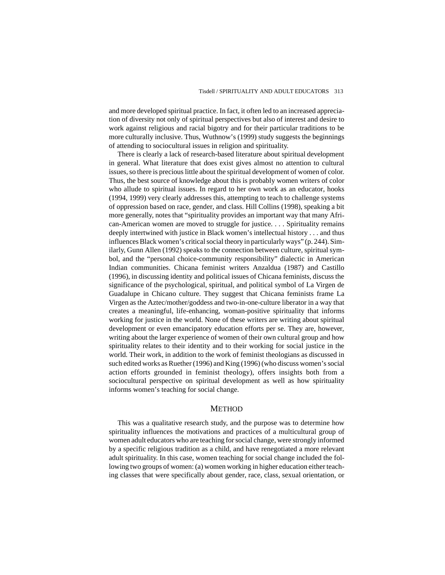and more developed spiritual practice. In fact, it often led to an increased appreciation of diversity not only of spiritual perspectives but also of interest and desire to work against religious and racial bigotry and for their particular traditions to be more culturally inclusive. Thus, Wuthnow's (1999) study suggests the beginnings of attending to sociocultural issues in religion and spirituality.

There is clearly a lack of research-based literature about spiritual development in general. What literature that does exist gives almost no attention to cultural issues, so there is precious little about the spiritual development of women of color. Thus, the best source of knowledge about this is probably women writers of color who allude to spiritual issues. In regard to her own work as an educator, hooks  $(1994, 1999)$  very clearly addresses this, attempting to teach to challenge systems of oppression based on race, gender, and class. Hill Collins (1998), speaking a bit more generally, notes that "spirituality provides an important way that many African-American women are moved to struggle for justice. . . . Spirituality remains deeply intertwined with justice in Black women's intellectual history . . . and thus influences Black women's critical social theory in particularly ways" (p. 244). Similarly, Gunn Allen (1992) speaks to the connection between culture, spiritual symbol, and the "personal choice-community responsibility" dialectic in American Indian communities. Chicana feminist writers Anzaldua (1987) and Castillo (1996), in discussing identity and political issues of Chicana feminists, discuss the significance of the psychological, spiritual, and political symbol of La Virgen de Guadalupe in Chicano culture. They suggest that Chicana feminists frame La Virgen as the Aztec/mother/goddess and two-in-one-culture liberator in a way that creates a meaningful, life-enhancing, woman-positive spirituality that informs working for justice in the world. None of these writers are writing about spiritual development or even emancipatory education efforts per se. They are, however, writing about the larger experience of women of their own cultural group and how spirituality relates to their identity and to their working for social justice in the world. Their work, in addition to the work of feminist theologians as discussed in such edited works as Ruether (1996) and King (1996) (who discuss women's social action efforts grounded in feminist theology), offers insights both from a sociocultural perspective on spiritual development as well as how spirituality informs women's teaching for social change.

# **METHOD**

This was a qualitative research study, and the purpose was to determine how spirituality influences the motivations and practices of a multicultural group of women adult educators who are teaching for social change, were strongly informed by a specific religious tradition as a child, and have renegotiated a more relevant adult spirituality. In this case, women teaching for social change included the following two groups of women: (a) women working in higher education either teaching classes that were specifically about gender, race, class, sexual orientation, or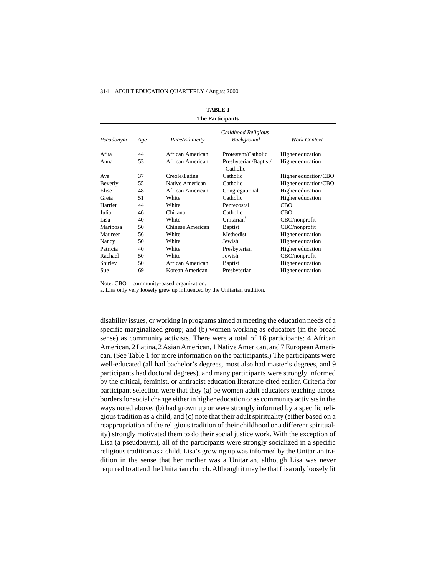| <b>The Participants</b> |                  |                                          |                      |
|-------------------------|------------------|------------------------------------------|----------------------|
| Age                     | Race/Ethnicity   | Childhood Religious<br><b>Background</b> | <b>Work Context</b>  |
| 44                      | African American | Protestant/Catholic                      | Higher education     |
| 53                      | African American | Presbyterian/Baptist/<br>Catholic        | Higher education     |
| 37                      | Creole/Latina    | Catholic                                 | Higher education/CBO |
| 55                      | Native American  | Catholic                                 | Higher education/CBO |
| 48                      | African American | Congregational                           | Higher education     |
| 51                      | White            | Catholic                                 | Higher education     |
| 44                      | White            | Pentecostal                              | <b>CBO</b>           |
| 46                      | Chicana          | Catholic                                 | <b>CBO</b>           |
| 40                      | White            | Unitarian <sup>a</sup>                   | CBO/nonprofit        |
| 50                      | Chinese American | <b>Baptist</b>                           | CBO/nonprofit        |
| 56                      | White            | Methodist                                | Higher education     |
| 50                      | White            | Jewish                                   | Higher education     |
| 40                      | White            | Presbyterian                             | Higher education     |
| 50                      | White            | Jewish                                   | CBO/nonprofit        |
| 50                      | African American | <b>Baptist</b>                           | Higher education     |
| 69                      | Korean American  | Presbyterian                             | Higher education     |
|                         |                  |                                          |                      |

**TA BLE 1**

Note:  $CBO = community-based organization.$ 

a. Lisa only very loosely grew up influenced by the Unitarian tradition.

disability issues, or working in programs aimed at meeting the education needs of a specific marginalized group; and (b) women working as educators (in the broad sense) as community activists. There were a total of 16 participants: 4 African American, 2 Latina, 2 Asian American, 1 Native American, and 7 European American. (See Table 1 for more information on the participants.) The participants were well-educated (all had bachelor's degrees, most also had master's degrees, and 9 participants had doctoral degrees), and many participants were strongly informed by the critical, feminist, or antiracist education literature cited earlier. Criteria for participant selection were that they (a) be women adult educators teaching across borders for social change either in higher education or as community activists in the ways noted above, (b) had grown up or were strongly informed by a specific religious tradition as a child, and  $(c)$  note that their adult spirituality (either based on a reappropriation of the religious tradition of their childhood or a different spirituality) strongly motivated them to do their social justice work. With the exception of Lisa (a pseudonym), all of the participants were strongly socialized in a specific religious tradition as a child. Lisa's growing up was informed by the Unitarian tradition in the sense that her mother was a Unitarian, although Lisa was never required to attend the Unitarian church. Although it may be that Lisa only loosely fit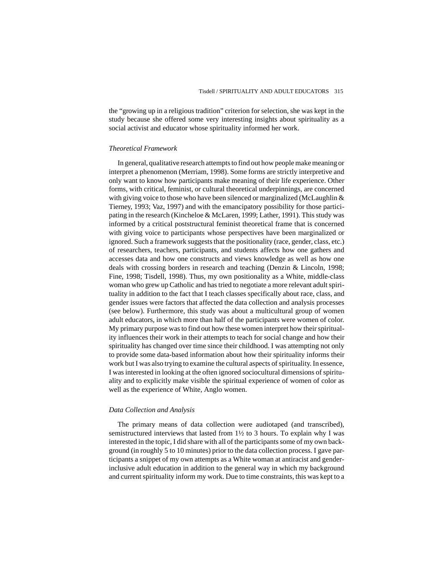the "growing up in a religious tradition" criterion for selection, she was kept in the study because she offered some very interesting insights about spirituality as a social activist and educator whose spirituality informed her work.

# *The o ret i cal Frame work*

In general, qualitative research attempts to find out how people make meaning or interpret a phenomenon (Merriam, 1998). Some forms are strictly interpretive and only want to know how participants make meaning of their life experience. Other forms, with critical, feminist, or cultural theoretical underpinnings, are concerned with giving voice to those who have been silenced or marginalized (McLaughlin  $\&$ Tierney, 1993; Vaz, 1997) and with the emancipatory possibility for those participating in the research (Kincheloe & McLaren, 1999; Lather, 1991). This study was informed by a critical poststructural feminist theoretical frame that is concerned with giving voice to participants whose perspectives have been marginalized or ignored. Such a framework suggests that the positionality (race, gender, class, etc.) of researchers, teachers, participants, and students affects how one gathers and accesses data and how one constructs and views knowledge as well as how one deals with crossing borders in research and teaching (Denzin & Lincoln, 1998; Fine, 1998; Tisdell, 1998). Thus, my own positionality as a White, middle-class woman who grew up Catholic and has tried to negotiate a more relevant adult spirituality in addition to the fact that I teach classes specifically about race, class, and gender issues were factors that affected the data collection and analysis processes (see below). Furthermore, this study was about a multicultural group of women adult educators, in which more than half of the participants were women of color. My primary purpose was to find out how these women interpret how their spirituality influences their work in their attempts to teach for social change and how their spirituality has changed over time since their childhood. I was attempting not only to provide some data-based information about how their spirituality informs their work but I was also trying to examine the cultural aspects of spirituality. In essence, I was interested in looking at the often ignored sociocultural dimensions of spirituality and to explicitly make visible the spiritual experience of women of color as well as the experience of White, Anglo women.

#### *Data Collection and Analysis*

The primary means of data collection were audiotaped (and transcribed), semistructured interviews that lasted from  $1\frac{1}{2}$  to 3 hours. To explain why I was interested in the topic, I did share with all of the participants some of my own background (in roughly 5 to 10 minutes) prior to the data collection process. I gave participants a snippet of my own attempts as a White woman at antiracist and genderinclusive adult education in addition to the general way in which my background and current spirituality inform my work. Due to time constraints, this was kept to a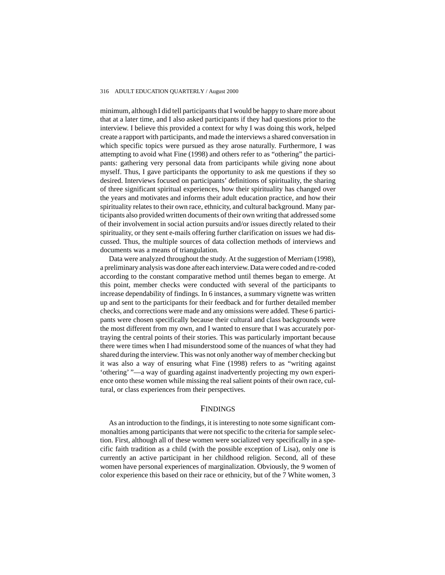minimum, although I did tell participants that I would be happy to share more about that at a later time, and I also asked participants if they had questions prior to the interview. I believe this provided a context for why I was doing this work, helped create a rapport with participants, and made the interviews a shared conversation in which specific topics were pursued as they arose naturally. Furthermore, I was attempting to avoid what Fine (1998) and others refer to as "othering" the participants: gathering very personal data from participants while giving none about myself. Thus, I gave participants the opportunity to ask me questions if they so desired. Interviews focused on participants' definitions of spirituality, the sharing of three significant spiritual experiences, how their spirituality has changed over the years and motivates and informs their adult education practice, and how their spirituality relates to their own race, ethnicity, and cultural background. Many participants also provided written documents of their own writing that addressed some of their involvement in social action pursuits and/or issues directly related to their spirituality, or they sent e-mails offering further clarification on issues we had discussed. Thus, the multiple sources of data collection methods of interviews and documents was a means of triangulation.

Data were analyzed throughout the study. At the suggestion of Merriam (1998), a preliminary analysis was done after each interview. Data were coded and re-coded according to the constant comparative method until themes began to emerge. At this point, member checks were conducted with several of the participants to increase dependability of findings. In 6 instances, a summary vignette was written up and sent to the participants for their feedback and for further detailed member checks, and corrections were made and any omissions were added. These 6 participants were chosen specifically because their cultural and class backgrounds were the most different from my own, and I wanted to ensure that I was accurately portraying the central points of their stories. This was particularly important because there were times when I had misunderstood some of the nuances of what they had shared during the interview. This was not only another way of member checking but it was also a way of ensuring what Fine (1998) refers to as "writing against 'othering' "—a way of guarding against inadvertently projecting my own experience onto these women while missing the real salient points of their own race, cultural, or class experiences from their perspectives.

# **FINDINGS**

As an introduction to the findings, it is interesting to note some significant commonalties among participants that were not specific to the criteria for sample selection. First, although all of these women were socialized very specifically in a specific faith tradition as a child (with the possible exception of Lisa), only one is currently an active participant in her childhood religion. Second, all of these women have personal experiences of marginalization. Obviously, the 9 women of color experience this based on their race or ethnicity, but of the 7 White women, 3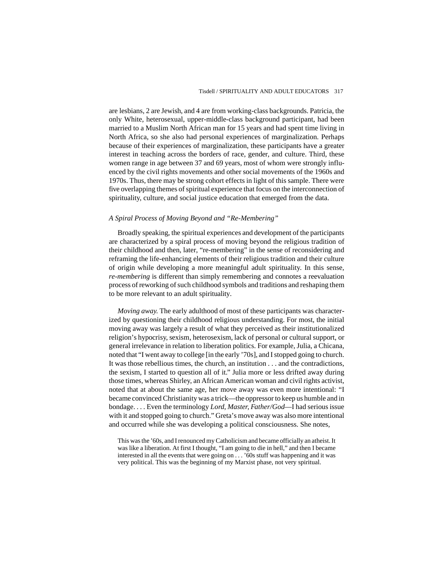are lesbians, 2 are Jewish, and 4 are from working-class backgrounds. Patricia, the only White, heterosexual, upper-middle-class background participant, had been married to a Muslim North African man for 15 years and had spent time living in North Africa, so she also had personal experiences of marginalization. Perhaps because of their experiences of marginalization, these participants have a greater interest in teaching across the borders of race, gender, and culture. Third, these women range in age between 37 and 69 years, most of whom were strongly influenced by the civil rights movements and other social movements of the 1960s and 1970s. Thus, there may be strong cohort effects in light of this sample. There were five overlapping themes of spiritual experience that focus on the interconnection of spirituality, culture, and social justice education that emerged from the data.

# *A Spi ral Pro cess of Moving Be yond and "Re-Membering"*

Broadly speaking, the spiritual experiences and development of the participants are characterized by a spiral process of moving beyond the religious tradition of their childhood and then, later, "re-membering" in the sense of reconsidering and reframing the life-enhancing elements of their religious tradition and their culture of origin while developing a more meaningful adult spirituality. In this sense, *re-membering* is different than simply remembering and connotes a reevaluation process of reworking of such child hood symbols and traditions and reshaping them to be more relevant to an adult spirituality.

*Moving away*. The early adulthood of most of these participants was characterized by questioning their childhood religious understanding. For most, the initial moving away was largely a result of what they perceived as their institutionalized religion's hypocrisy, sexism, heterosexism, lack of personal or cultural support, or general irrelevance in relation to liberation politics. For example, Julia, a Chicana, noted that "I went away to college [in the early '70s], and I stopped going to church. It was those rebellious times, the church, an institution  $\dots$  and the contradictions, the sexism, I started to question all of it." Julia more or less drifted away during those times, whereas Shirley, an African American woman and civil rights activist, noted that at about the same age, her move away was even more intentional: "I became convinced Christianity was a trick—the oppressor to keep us humble and in bondage.... Even the terminology Lord, Master, Father/God-I had serious issue with it and stopped going to church." Greta's move away was also more intentional and occurred while she was developing a political consciousness. She notes,

This was the '60s, and I renounced my Catholicism and became officially an atheist. It was like a liberation. At first I thought, "I am going to die in hell," and then I became interested in all the events that were going on . . . '60s stuff was happening and it was very political. This was the beginning of my Marxist phase, not very spiritual.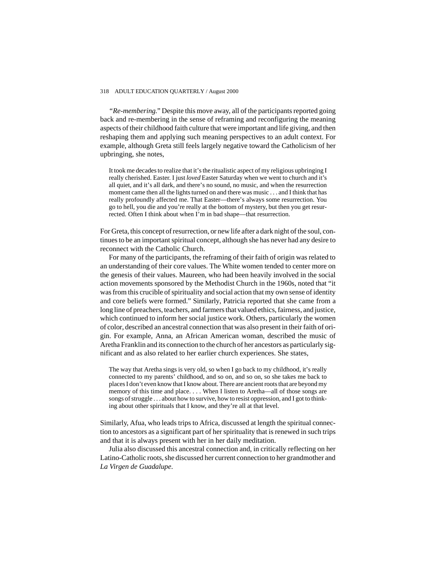*"Re-membering*." Despite this move away, all of the participants reported going back and re-membering in the sense of reframing and reconfiguring the meaning aspects of their child hood faith culture that were important and life giving, and then reshaping them and applying such meaning perspectives to an adult context. For example, although Greta still feels largely negative toward the Catholicism of her upbringing, she notes,

It took me decades to realize that it's the ritualistic aspect of my religious up bringing I really cherished. Easter. I just *loved* Easter Saturday when we went to church and it's all quiet, and it's all dark, and there's no sound, no music, and when the resurrection moment came then all the lights turned on and there was music . . . and I think that has really profoundly affected me. That Easter—there's always some resurrection. You go to hell, you die and you're really at the bottom of mystery, but then you get resurrected. Often I think about when I'm in bad shape—that resurrection.

For Greta, this concept of resurrection, or new life after a dark night of the soul, continues to be an important spiritual concept, although she has never had any desire to reconnect with the Catholic Church.

For many of the participants, the reframing of their faith of origin was related to an understanding of their core values. The White women tended to center more on the genesis of their values. Maureen, who had been heavily involved in the social action movements sponsored by the Methodist Church in the 1960s, noted that "it was from this crucible of spirituality and social action that my own sense of identity and core beliefs were formed." Similarly, Patricia reported that she came from a long line of preachers, teachers, and farmers that valued ethics, fairness, and justice, which continued to inform her social justice work. Others, particularly the women of color, described an ancestral connection that was also present in their faith of origin. For example, Anna, an African American woman, described the music of Aretha Franklin and its connection to the church of her ancestors as particularly significant and as also related to her earlier church experiences. She states,

The way that Aretha sings is very old, so when I go back to my childhood, it's really connected to my parents' childhood, and so on, and so on, so she takes me back to places I don't even know that I know about. There are ancient roots that are beyond my memory of this time and place. . . . When I listen to Aretha—all of those songs are songs of struggle  $\dots$  about how to survive, how to resist oppression, and I got to thinking about other spirituals that I know, and they're all at that level.

Similarly, Afua, who leads trips to Africa, discussed at length the spiritual connection to ancestors as a significant part of her spirituality that is renewed in such trips and that it is always present with her in her daily meditation.

Julia also discussed this ancestral connection and, in critically reflecting on her Latino-Catholic roots, she discussed her current connection to her grand mother and *La Virgen de Guadalupe*.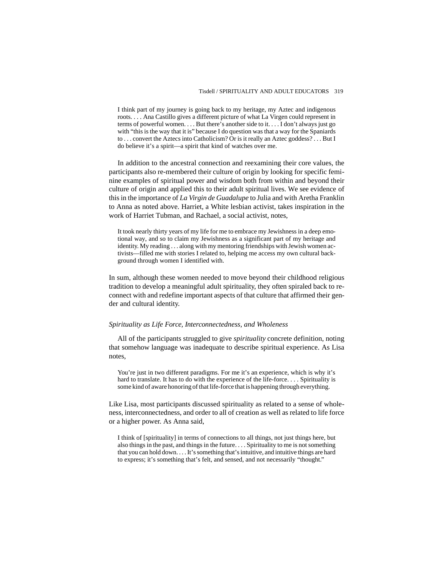I think part of my journey is going back to my heritage, my Aztec and indigenous roots. . . . Ana Castillo gives a different picture of what La Virgen could represent in terms of powerful women. . . . But there's another side to it. . . . I don't always just go with "this is the way that it is" because I do question was that a way for the Spaniards to ... convert the Aztecs into Catholicism? Or is it really an Aztec goddess? ... But I do believe it's a spirit—a spirit that kind of watches over me.

In addition to the ancestral connection and reexamining their core values, the participants also re-membered their culture of origin by looking for specific feminine examples of spiritual power and wisdom both from within and beyond their culture of origin and applied this to their adult spiritual lives. We see evidence of this in the importance of *La Virgin de Guadalupe* to Julia and with Aretha Franklin to Anna as noted above. Harriet, a White lesbian activist, takes inspiration in the work of Harriet Tubman, and Rachael, a social activist, notes,

It took nearly thirty years of my life for me to embrace my Jewishness in a deep emotional way, and so to claim my Jewishness as a significant part of my heritage and identity. My reading . . . along with my mentoring friendships with Jewish women activists—filled me with stories I related to, helping me access my own cultural background through women I identified with.

In sum, although these women needed to move beyond their childhood religious tradition to develop a meaningful adult spirituality, they often spiraled back to reconnect with and redefine important aspects of that culture that affirmed their gender and cultural identity.

# *Spirituality as Life Force, Interconnectedness, and Wholeness*

All of the participants struggled to give *spirituality* concrete definition, noting that somehow language was inadequate to describe spiritual experience. As Lisa notes,

You're just in two different paradigms. For me it's an experience, which is why it's hard to translate. It has to do with the experience of the life-force. . . . Spirituality is some kind of aware honoring of that life-force that is happening through everything.

Like Lisa, most participants discussed spirituality as related to a sense of wholeness, interconnectedness, and order to all of creation as well as related to life force or a higher power. As Anna said,

I think of [spirituality] in terms of connections to all things, not just things here, but also things in the past, and things in the future.... Spirituality to me is not something that you can hold down. . . . It's something that's intuitive, and intuitive things are hard to express; it's something that's felt, and sensed, and not necessarily "thought."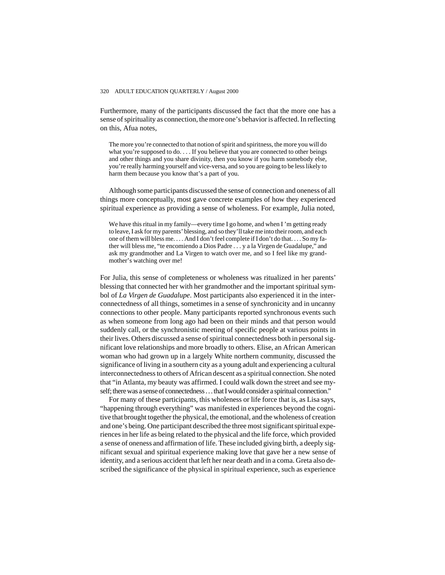Furthermore, many of the participants discussed the fact that the more one has a sense of spirituality as connection, the more one's behavior is affected. In reflecting on this, Afua notes,

The more you're connected to that notion of spirit and spiritness, the more you will do what you're supposed to do.... If you believe that you are connected to other beings and other things and you share divinity, then you know if you harm somebody else, you're really harming yourself and vice-versa, and so you are going to be less likely to harm them because you know that's a part of you.

Although some participants discussed the sense of connection and one ness of all things more conceptually, most gave concrete examples of how they experienced spiritual experience as providing a sense of wholeness. For example, Julia noted,

We have this ritual in my family—every time I go home, and when I'm getting ready to leave, I ask for my parents' blessing, and so they'll take me into their room, and each one of them will bless me.... And I don't feel complete if I don't do that... . So my father will bless me, "te encomiendo a Dios Padre . . . y a la Virgen de Guadalupe," and ask my grandmother and La Virgen to watch over me, and so I feel like my grandmother's watching over me!

For Julia, this sense of completeness or wholeness was ritualized in her parents' blessing that connected her with her grand mother and the important spiritual symbol of *La Virgen de Guadalupe*. Most participants also experienced it in the interconnectedness of all things, sometimes in a sense of synchronicity and in uncanny connections to other people. Many participants reported synchronous events such as when someone from long ago had been on their minds and that person would suddenly call, or the synchronistic meeting of specific people at various points in their lives. Others discussed a sense of spiritual connectedness both in personal significant love relationships and more broadly to others. Elise, an African American woman who had grown up in a largely White northern community, discussed the significance of living in a southern city as a young adult and experiencing a cultural interconnectedness to others of African descent as a spiritual connection. She noted that "in Atlanta, my beauty was affirmed. I could walk down the street and see myself; there was a sense of connectedness ... that I would consider a spiritual connection."

For many of these participants, this wholeness or life force that is, as Lisa says, "hap pening through every thing" was manifested in experiences beyond the cognitive that brought together the physical, the emotional, and the whole ness of creation and one's being. One participant described the three most significant spiritual experiences in her life as being related to the physical and the life force, which provided a sense of oneness and affirmation of life. These included giving birth, a deeply significant sexual and spiritual experience making love that gave her a new sense of identity, and a serious accident that left her near death and in a coma. Greta also described the significance of the physical in spiritual experience, such as experience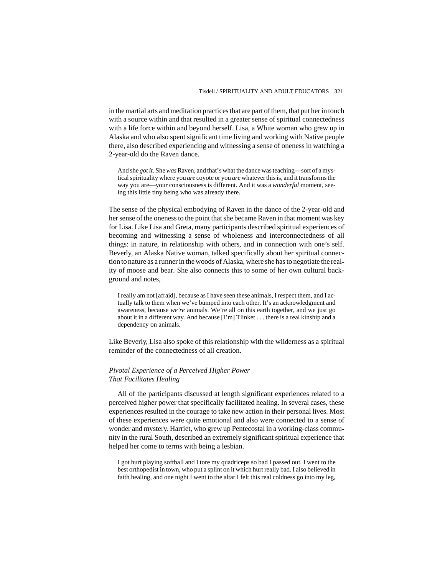in the martial arts and meditation practices that are part of them, that put her in touch with a source within and that resulted in a greater sense of spiritual connectedness with a life force within and beyond herself. Lisa, a White woman who grew up in Alaska and who also spent significant time living and working with Native people there, also described experiencing and witnessing a sense of one ness in watching a 2-year-old do the Raven dance.

And she *got it*. She *was* Raven, and that's what the dance was teaching—sort of a mystical spirituality where you *are* coyote or you *are* whatever this is, and it transforms the way you are—your consciousness is different. And it was a *wonderful* moment, seeing this little tiny being who was already there.

The sense of the physical embodying of Raven in the dance of the 2-year-old and her sense of the one ness to the point that she became Raven in that moment was key for Lisa. Like Lisa and Greta, many participants described spiritual experiences of becoming and witnessing a sense of wholeness and interconnectedness of all things: in nature, in relationship with others, and in connection with one's self. Beverly, an Alaska Native woman, talked specifically about her spiritual connection to nature as a runner in the woods of Alaska, where she has to negotiate the reality of moose and bear. She also connects this to some of her own cultural background and notes,

I really am not [afraid], because as I have seen these animals, I respect them, and I actually talk to them when we've bumped into each other. It's an acknowledgment and awareness, because *we're* animals. We're all on this earth together, and we just go about it in a different way. And because  $[I'm]$  Tlinket . . . there is a real kinship and a dependency on animals.

Like Beverly, Lisa also spoke of this relationship with the wilderness as a spiritual reminder of the connectedness of all creation.

# *Pivotal Experience of a Perceived Higher Power That Facilitates Healing*

All of the participants discussed at length significant experiences related to a perceived higher power that specifically facilitated healing. In several cases, these experiences resulted in the courage to take new action in their personal lives. Most of these experiences were quite emotional and also were connected to a sense of wonder and mystery. Harriet, who grew up Pentecostal in a working-class community in the rural South, described an extremely significant spiritual experience that helped her come to terms with being a lesbian.

I got hurt playing softball and I tore my quadriceps so bad I passed out. I went to the best orthopedist in town, who put a splint on it which hurt really bad. I also believed in faith healing, and one night I went to the altar I felt this real coldness go into my leg,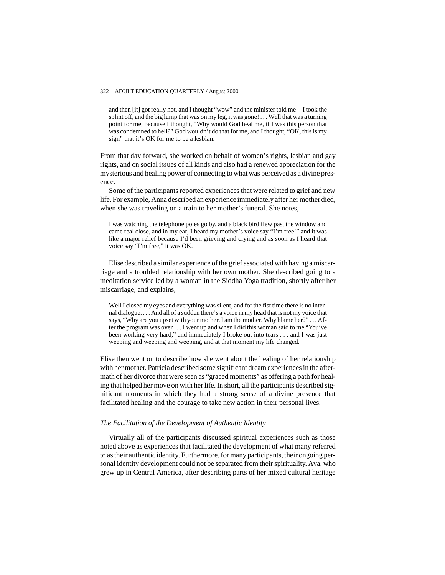and then [it] got really hot, and I thought "wow" and the minister told me—I took the splint off, and the big lump that was on my leg, it was gone!... Well that was a turning point for me, because I thought, "Why would God heal me, if I was this person that was condemned to hell?" God wouldn't do that for me, and I thought, "OK, this is my sign" that it's OK for me to be a lesbian.

From that day forward, she worked on behalf of women's rights, lesbian and gay rights, and on social issues of all kinds and also had a renewed appreciation for the mysterious and healing power of connecting to what was perceived as a divine presence.

Some of the participants reported experiences that were related to grief and new life. For example, Anna described an experience immediately after her mother died, when she was traveling on a train to her mother's funeral. She notes,

I was watching the telephone poles go by, and a black bird flew past the window and came real close, and in my ear, I heard my mother's voice say "I'm free!" and it was like a major relief because I'd been grieving and crying and as soon as I heard that voice say "I'm free," it was OK.

Elise described a similar experience of the grief associated with having a miscarriage and a troubled relationship with her own mother. She described going to a meditation service led by a woman in the Siddha Yoga tradition, shortly after her miscarriage, and explains,

Well I closed my eyes and everything was silent, and for the fist time there is no internal dialogue.... And all of a sudden there's a voice in my head that is not my voice that says, "Why are you upset with your mother. I am the mother. Why blame her?" . . . After the program was over . . . I went up and when I did this woman said to me "You've been working very hard," and immediately I broke out into tears . . . and I was just weeping and weeping and weeping, and at that moment my life changed.

Elise then went on to describe how she went about the healing of her relationship with her mother. Patricia described some significant dream experiences in the aftermath of her divorce that were seen as "graced moments" as offering a path for healing that helped her move on with her life. In short, all the participants described significant moments in which they had a strong sense of a divine presence that facilitated healing and the courage to take new action in their personal lives.

# The Facilitation of the Development of Authentic Identity

Virtually all of the participants discussed spiritual experiences such as those noted above as experiences that facilitated the development of what many referred to as their authentic identity. Furthermore, for many participants, their ongoing personal identity development could not be separated from their spirituality. Ava, who grew up in Central America, after describing parts of her mixed cultural heritage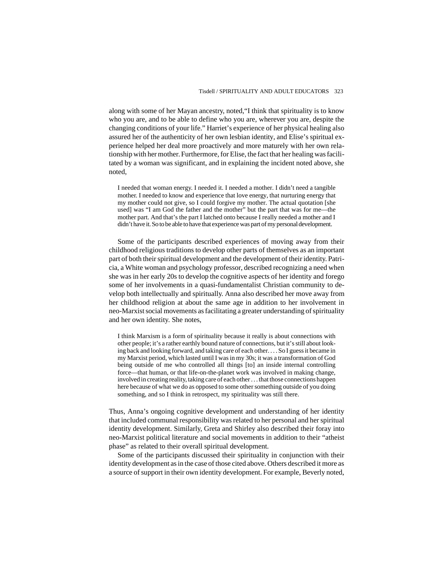along with some of her Mayan ancestry, noted, "I think that spirituality is to know who you are, and to be able to define who you are, wherever you are, despite the changing conditions of your life." Harriet's experience of her physical healing also assured her of the authenticity of her own lesbian identity, and Elise's spiritual experience helped her deal more proactively and more maturely with her own relation ship with her mother. Furthermore, for Elise, the fact that her healing was facilitated by a woman was significant, and in explaining the incident noted above, she noted,

I needed that woman energy. I needed it. I needed a mother. I didn't need a tangible mother. I needed to know and experience that love energy, that nurturing energy that my mother could not give, so I could forgive my mother. The actual quotation [she used] was "I am God the father and the mother" but the part that was for me—the mother part. And that's the part I latched onto because I really needed a mother and I didn't have it. So to be able to have that experience was part of my personal development.

Some of the participants described experiences of moving away from their child hood religious traditions to develop other parts of themselves as an important part of both their spiritual development and the development of their identity. Patricia, a White woman and psychology professor, described recognizing a need when she was in her early 20s to develop the cognitive aspects of her identity and forego some of her involvements in a quasi-fundamentalist Christian community to develop both intellectually and spiritually. Anna also described her move away from her child hood religion at about the same age in addition to her involvement in neo-Marxist social movements as facilitating a greater understanding of spirituality and her own identity. She notes,

I think Marxism is a form of spirituality because it really is about connections with other people; it's a rather earthly bound nature of connections, but it's still about looking back and looking forward, and taking care of each other... . So I guess it became in my Marxist period, which lasted until I was in my 30s; it was a transformation of God being outside of me who controlled all things [to] an inside internal controlling force—that human, or that life-on-the-planet work was involved in making change, involved in creating reality, taking care of each other . . . that those connections happen here because of what we do as opposed to some other something outside of you doing something, and so I think in retrospect, my spirituality was still there.

Thus, Anna's ongoing cognitive development and understanding of her identity that included communal responsibility was related to her personal and her spiritual identity development. Similarly, Greta and Shirley also described their foray into neo-Marxist political literature and social movements in addition to their "atheist" phase" as related to their overall spiritual development.

Some of the participants discussed their spirituality in conjunction with their identity development as in the case of those cited above. Others described it more as a source of support in their own identity development. For example, Beverly noted,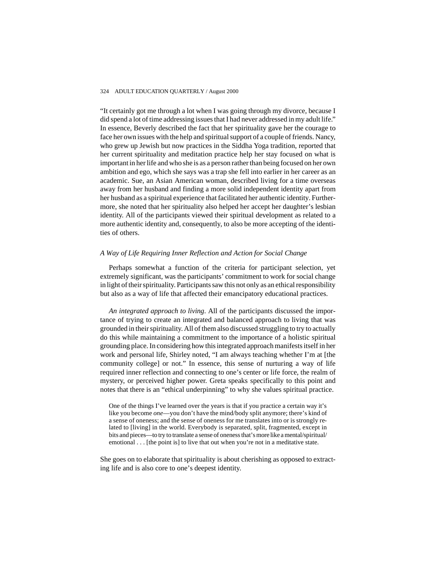"It certainly got me through a lot when I was going through my divorce, because I did spend a lot of time addressing issues that I had never addressed in my adult life." In essence, Beverly described the fact that her spirituality gave her the courage to face her own issues with the help and spiritual support of a couple of friends. Nancy, who grew up Jewish but now practices in the Siddha Yoga tradition, reported that her current spirituality and meditation practice help her stay focused on what is important in her life and who she is as a person rather than being focused on her own ambition and ego, which she says was a trap she fell into earlier in her career as an academic. Sue, an Asian American woman, described living for a time overseas away from her husband and finding a more solid independent identity apart from her hus band as a spiritual experience that facilitated her authentic identity. Furthermore, she noted that her spirituality also helped her accept her daughter's lesbian identity. All of the participants viewed their spiritual development as related to a more authentic identity and, consequently, to also be more accepting of the identities of others.

# *A Way of Life Re quiring In ner Re flec tion and Ac tion for So cial Change*

Perhaps somewhat a function of the criteria for participant selection, yet extremely significant, was the participants' commitment to work for social change in light of their spirituality. Participants saw this not only as an ethical responsibility but also as a way of life that affected their emancipatory educational practices.

*An integrated approach to living.* All of the participants discussed the importance of trying to create an integrated and balanced approach to living that was grounded in their spirituality. All of them also discussed struggling to try to actually do this while maintaining a commitment to the importance of a holistic spiritual grounding place. In considering how this integrated approach manifests itself in her work and personal life, Shirley noted, "I am always teaching whether I'm at [the community college] or not." In essence, this sense of nurturing a way of life required inner reflection and connecting to one's center or life force, the realm of mystery, or perceived higher power. Greta speaks specifically to this point and notes that there is an "ethical underpinning" to why she values spiritual practice.

One of the things I've learned over the years is that if you practice a certain way it's like you become *one*—you don't have the mind/body split anymore; there's kind of a sense of one ness; and the sense of one ness for me translates into or is strongly related to [living] in the world. Everybody is separated, split, fragmented, except in bits and pieces—to try to translate a sense of one ness that's more like a mental/spiritual/ emotional . . . [the point is] to live that out when you're not in a meditative state.

She goes on to elaborate that spirituality is about cherishing as opposed to extracting life and is also core to one's deepest identity.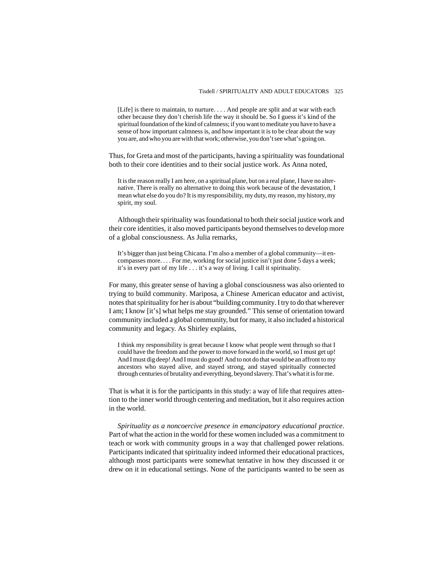[Life] is there to maintain, to nurture.  $\dots$  And people are split and at war with each other because they don't cherish life the way it should be. So I guess it's kind of the spiritual foundation of the kind of calmness; if you want to meditate you have to have a sense of how important calmness is, and how important it is to be clear about the way you are, and who you are with that work; otherwise, you don't see what's going on.

Thus, for Greta and most of the participants, having a spirituality was foundational both to their core identities and to their social justice work. As Anna noted,

It is the reason really I am here, on a spiritual plane, but on a real plane, I have no alternative. There is really no alternative to doing this work because of the devastation, I mean what else do you do? It is my responsibility, my duty, my reason, my history, my spirit, my soul.

Although their spirituality was foundational to both their social justice work and their core identities, it also moved participants beyond themselves to develop more of a global consciousness. As Julia remarks,

It's bigger than just being Chicana. I'm also a member of a global community—it encompasses more.... For me, working for social justice is n't just done 5 days a week; it's in every part of my life . . . it's a way of living. I call it spirituality.

For many, this greater sense of having a global consciousness was also oriented to trying to build community. Mariposa, a Chinese American educator and activist, notes that spirituality for her is about "building community. I try to do that wherever I am; I know [it's] what helps me stay grounded." This sense of orientation toward community included a global community, but for many, it also included a historical community and legacy. As Shirley explains,

I think my responsibility is great because I know what people went through so that I could have the freedom and the power to move forward in the world, so I must get up! And I must dig deep! And I must do good! And to not do that would be an affront to my ancestors who stayed alive, and stayed strong, and stayed spiritually connected through centuries of brutality and every thing, beyond slavery. That's what it is for me.

That is what it is for the participants in this study: a way of life that requires attention to the inner world through centering and meditation, but it also requires action in the world.

*Spirituality as a noncoercive presence in emancipatory educational practice.* Part of what the action in the world for these women included was a commitment to teach or work with community groups in a way that challenged power relations. Participants indicated that spirituality indeed informed their educational practices, although most participants were somewhat tentative in how they discussed it or drew on it in educational settings. None of the participants wanted to be seen as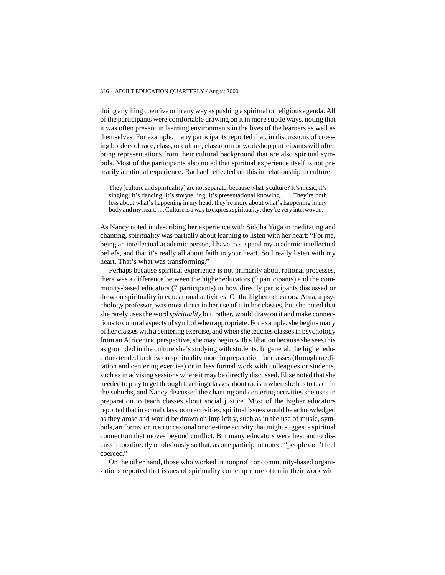doing any thing coercive or in any way as pushing a spiritual or religious agenda. All of the participants were comfortable drawing on it in more subtle ways, noting that it was often present in learning environments in the lives of the learners as well as them selves. For example, many participants reported that, in discussions of crossing borders of race, class, or culture, classroom or workshop participants will often bring representations from their cultural background that are also spiritual symbols. Most of the participants also noted that spiritual experience itself is not primarily a rational experience. Rachael reflected on this in relationship to culture.

They [culture and spirituality] are not separate, because what's culture? It's music, it's singing; it's dancing; it's storytelling; it's presentational knowing. . . . They're both less about what's happening in my head; they're more about what's happening in my body and my heart. . . . Culture is a way to express spirituality; they're very interwoven.

As Nancy noted in describing her experience with Siddha Yoga in meditating and chanting, spirituality was partially about learning to listen with her heart: "For me, being an intellectual academic person, I have to suspend my academic intellectual be liefs, and that it's really all about faith in your heart. So I really listen with my heart. That's what was transforming."

Perhaps because spiritual experience is not primarily about rational processes, there was a difference between the higher educators (9 participants) and the community-based educators (7 participants) in how directly participants discussed or drew on spirituality in educational activities. Of the higher educators, Afua, a psychology professor, was most direct in her use of it in her classes, but she noted that she rarely uses the word *spirituality* but, rather, would draw on it and make connections to cultural aspects of symbol when appropriate. For example, she begins many of her classes with a centering exercise, and when she teaches classes in psychology from an Africentric perspective, she may begin with a libation because she sees this as grounded in the culture she's studying with students. In general, the higher educators tended to draw on spirituality more in preparation for classes (through meditation and centering exercise) or in less formal work with colleagues or students, such as in advising sessions where it may be directly discussed. Elise noted that she needed to pray to get through teach ing classes about rac ism when she has to teach in the suburbs, and Nancy discussed the chanting and centering activities she uses in preparation to teach classes about social justice. Most of the higher educators reported that in actual class room activities, spiritual issues would be acknowledged as they arose and would be drawn on implicitly, such as in the use of music, symbols, art forms, or in an occasional or one-time activity that might suggest a spiritual connection that moves beyond conflict. But many educators were hesitant to discuss it too directly or obviously so that, as one participant noted, "people don't feel coerced."

On the other hand, those who worked in nonprofit or community-based organizations reported that issues of spirituality come up more often in their work with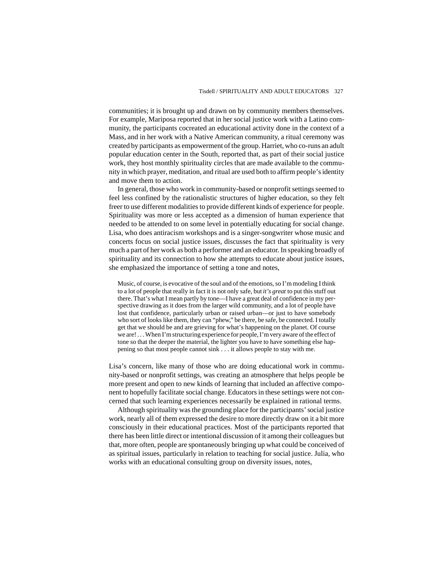communities; it is brought up and drawn on by community members themselves. For example, Mariposa reported that in her social justice work with a Latino community, the participants cocreated an educational activity done in the context of a Mass, and in her work with a Native American community, a ritual ceremony was created by participants as empowerment of the group. Harriet, who co-runs an adult popular education center in the South, reported that, as part of their social justice work, they host monthly spirituality circles that are made available to the community in which prayer, meditation, and ritual are used both to affirm people's identity and move them to action.

In general, those who work in community-based or nonprofit settings seemed to feel less confined by the rationalistic structures of higher education, so they felt freer to use different modalities to provide different kinds of experience for people. Spirituality was more or less accepted as a dimension of human experience that needed to be attended to on some level in potentially educating for social change. Lisa, who does antiracism workshops and is a singer-song writer whose music and concerts focus on social justice issues, discusses the fact that spirituality is very much a part of her work as both a performer and an educator. In speaking broadly of spirituality and its connection to how she attempts to educate about justice issues, she emphasized the importance of setting a tone and notes,

Music, of course, is evocative of the soul and of the emotions, so I'm modeling I think to a lot of people that really in fact it is not only safe, but *it's great* to put this stuff out there. That's what I mean partly by tone—I have a great deal of confidence in my perspective drawing as it does from the larger wild community, and a lot of people have lost that confidence, particularly urban or raised urban—or just to have somebody who sort of looks like them, they can "phew," be there, be safe, be connected. I totally get that we should be and are grieving for what's happening on the planet. Of course we are!... When I'm structuring experience for people, I'm very aware of the effect of tone so that the deeper the material, the lighter you have to have something else happening so that most people cannot sink . . . it allows people to stay with me.

Lisa's concern, like many of those who are doing educational work in community-based or nonprofit settings, was creating an atmosphere that helps people be more present and open to new kinds of learning that included an affective component to hopefully facilitate social change. Educators in these settings were not concerned that such learning experiences necessarily be explained in rational terms.

Although spirituality was the grounding place for the participants' social justice work, nearly all of them expressed the desire to more directly draw on it a bit more consciously in their educational practices. Most of the participants reported that there has been little direct or intentional discussion of it among their colleagues but that, more often, people are spontaneously bringing up what could be conceived of as spiritual issues, particularly in relation to teaching for social justice. Julia, who works with an educational consulting group on diversity issues, notes,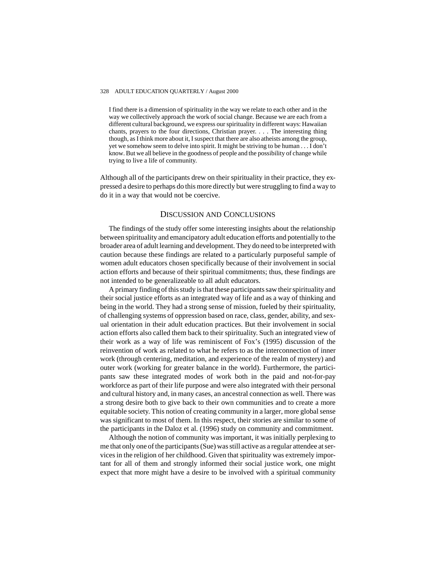I find there is a dimension of spirituality in the way we relate to each other and in the way we collectively approach the work of social change. Because we are each from a different cultural background, we express our spirituality in different ways: Hawaiian chants, prayers to the four directions, Christian prayer.  $\dots$ . The interesting thing though, as I think more about it, I suspect that there are also atheists among the group, yet we somehow seem to delve into spirit. It might be striving to be human . . . I don't know. But we all believe in the goodness of people and the possibility of change while trying to live a life of community.

Although all of the participants drew on their spirituality in their practice, they expressed a desire to perhaps do this more directly but were struggling to find a way to do it in a way that would not be coercive.

# DISCUSSION AND CONCLUSIONS

The findings of the study offer some interesting insights about the relationship between spirituality and emancipatory adult education efforts and potentially to the broader area of adult learning and development. They do need to be interpreted with cau tion because these findings are related to a particularly purpose ful sample of women adult educators chosen specifically because of their involvement in social action efforts and because of their spiritual commitments; thus, these findings are not intended to be generalizeable to all adult educators.

A primary finding of this study is that these participants saw their spirituality and their social justice efforts as an integrated way of life and as a way of thinking and being in the world. They had a strong sense of mission, fueled by their spirituality, of challenging systems of oppression based on race, class, gender, ability, and sexual orientation in their adult education practices. But their involvement in social action efforts also called them back to their spirituality. Such an integrated view of their work as a way of life was reminiscent of Fox's  $(1995)$  discussion of the reinvention of work as related to what he refers to as the interconnection of inner work (through centering, meditation, and experience of the realm of mystery) and outer work (working for greater balance in the world). Furthermore, the participants saw these integrated modes of work both in the paid and not-for-pay workforce as part of their life purpose and were also integrated with their personal and cultural history and, in many cases, an ancestral connection as well. There was a strong desire both to give back to their own communities and to create a more equitable society. This notion of creating community in a larger, more global sense was significant to most of them. In this respect, their stories are similar to some of the participants in the Daloz et al. (1996) study on community and commitment.

Although the notion of community was important, it was initially perplexing to me that only one of the participants (Sue) was still active as a regular attendee at services in the religion of her childhood. Given that spirituality was extremely important for all of them and strongly informed their social justice work, one might expect that more might have a desire to be involved with a spiritual community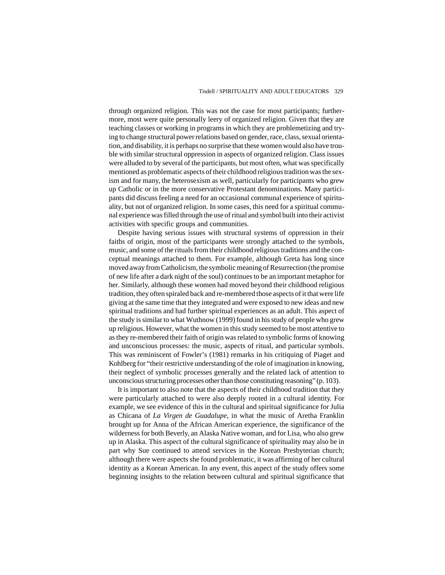through organized religion. This was not the case for most participants; furthermore, most were quite personally leery of organized religion. Given that they are teaching classes or working in programs in which they are problemetizing and trying to change structural power relations based on gender, race, class, sexual orientation, and disability, it is perhaps no surprise that these women would also have trouble with similar structural oppression in aspects of organized religion. Class issues were alluded to by several of the participants, but most often, what was specifically mentioned as problematic aspects of their childhood religious tradition was the sexism and for many, the heterosexism as well, particularly for participants who grew up Catholic or in the more conservative Protestant denominations. Many participants did discuss feeling a need for an occasional communal experience of spirituality, but not of organized religion. In some cases, this need for a spiritual communal experience was filled through the use of ritual and symbol built into their activist activities with specific groups and communities.

Despite having serious issues with structural systems of oppression in their faiths of origin, most of the participants were strongly attached to the symbols, music, and some of the rituals from their child hood religious traditions and the conceptual meanings attached to them. For example, although Greta has long since moved away from Catholicism, the symbolic meaning of Resurrection (the promise of new life after a dark night of the soul) continues to be an important metaphor for her. Similarly, although these women had moved beyond their childhood religious tradition, they often spiraled back and re-membered those aspects of it that were life giving at the same time that they integrated and were exposed to new ideas and new spiritual traditions and had further spiritual experiences as an adult. This aspect of the study is similar to what Wuthnow (1999) found in his study of people who grew up religious. However, what the women in this study seemed to be most attentive to as they re-membered their faith of origin was related to symbolic forms of knowing and unconscious processes: the music, aspects of ritual, and particular symbols. This was reminiscent of Fowler's (1981) remarks in his critiquing of Piaget and Kohlberg for "their restrictive understanding of the role of imagination in knowing, their neglect of symbolic processes generally and the related lack of attention to unconscious structuring processes other than those constituting reasoning" (p. 103).

It is important to also note that the aspects of their childhood tradition that they were particularly attached to were also deeply rooted in a cultural identity. For example, we see evidence of this in the cultural and spiritual significance for Julia as Chicana of *La Virgen de Guadalupe*, in what the music of Aretha Franklin brought up for Anna of the African American experience, the significance of the wilderness for both Beverly, an Alaska Native woman, and for Lisa, who also grew up in Alaska. This aspect of the cultural significance of spirituality may also be in part why Sue continued to attend services in the Korean Presbyterian church; although there were aspects she found problematic, it was affirming of her cultural identity as a Korean American. In any event, this aspect of the study offers some beginning insights to the relation between cultural and spiritual significance that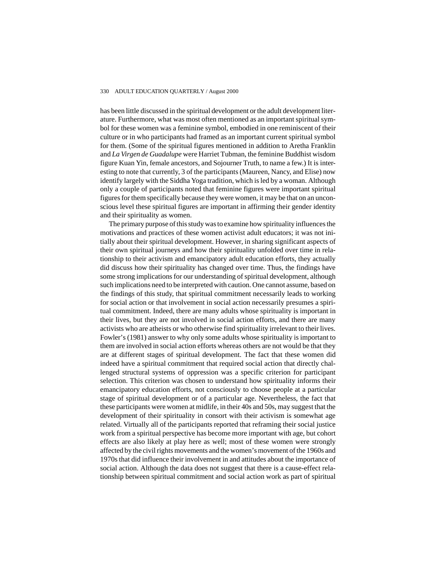has been little discussed in the spiritual development or the adult development literature. Furthermore, what was most often mentioned as an important spiritual symbol for these women was a feminine symbol, embodied in one reminiscent of their culture or in who participants had framed as an important current spiritual symbol for them. (Some of the spiritual figures mentioned in addition to Aretha Franklin and *La Virgen de Guadalupe* were Harriet Tubman, the feminine Buddhist wisdom figure Kuan Yin, female ancestors, and Sojourner Truth, to name a few.) It is interesting to note that currently, 3 of the participants (Maureen, Nancy, and Elise) now identify largely with the Siddha Yoga tradition, which is led by a woman. Although only a couple of participants noted that feminine figures were important spiritual figures for them specifically because they were women, it may be that on an unconscious level these spiritual figures are important in affirming their gender identity and their spirituality as women.

The primary purpose of this study was to examine how spirituality influences the motivations and practices of these women activist adult educators; it was not initially about their spiritual development. However, in sharing significant aspects of their own spiritual journeys and how their spirituality unfolded over time in relation ship to their activism and emancipatory adult education efforts, they actually did discuss how their spirituality has changed over time. Thus, the findings have some strong implications for our understanding of spiritual development, although such implications need to be interpreted with caution. One cannot assume, based on the findings of this study, that spiritual commitment necessarily leads to working for social action or that involvement in social action necessarily presumes a spiritual commitment. Indeed, there are many adults whose spirituality is important in their lives, but they are not involved in social action efforts, and there are many activists who are atheists or who otherwise find spirituality irrelevant to their lives. Fowler's (1981) answer to why only some adults whose spirituality is important to them are involved in social action efforts whereas others are not would be that they are at different stages of spiritual development. The fact that these women did indeed have a spiritual commitment that required social action that directly challenged structural systems of oppression was a specific criterion for participant selection. This criterion was chosen to understand how spirituality informs their emancipatory education efforts, not consciously to choose people at a particular stage of spiritual development or of a particular age. Nevertheless, the fact that these participants were women at midlife, in their 40s and 50s, may suggest that the development of their spirituality in consort with their activism is somewhat age related. Virtually all of the participants reported that reframing their social justice work from a spiritual perspective has become more important with age, but cohort effects are also likely at play here as well; most of these women were strongly affected by the civil rights movements and the women's movement of the 1960s and 1970s that did influence their involvement in and attitudes about the importance of social action. Although the data does not suggest that there is a cause-effect relation ship between spiritual commitment and social action work as part of spiritual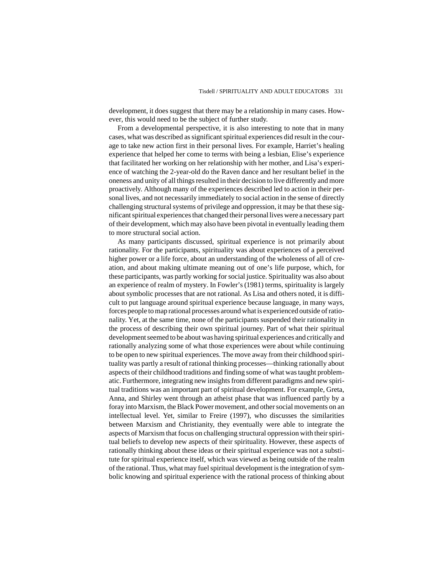development, it does suggest that there may be a relationship in many cases. However, this would need to be the subject of further study.

From a developmental perspective, it is also interesting to note that in many cases, what was described as significant spiritual experiences did result in the courage to take new action first in their personal lives. For example, Harriet's healing experience that helped her come to terms with being a lesbian, Elise's experience that facilitated her working on her relationship with her mother, and Lisa's experience of watching the 2-year-old do the Raven dance and her resultant belief in the one ness and unity of all things resulted in their decision to live differently and more proactively. Although many of the experiences described led to action in their personal lives, and not necessarily immediately to social action in the sense of directly challenging structural systems of privilege and oppression, it may be that these significant spiritual experiences that changed their personal lives were a necessary part of their development, which may also have been pivotal in eventually leading them to more structural social action.

As many participants discussed, spiritual experience is not primarily about rationality. For the participants, spirituality was about experiences of a perceived higher power or a life force, about an understanding of the wholeness of all of creation, and about making ultimate meaning out of one's life purpose, which, for these participants, was partly working for social justice. Spirituality was also about an experience of realm of mystery. In Fowler's (1981) terms, spirituality is largely about symbolic processes that are not rational. As Lisa and others noted, it is difficult to put language around spiritual experience because language, in many ways, forces people to map rational processes around what is experienced outside of rationality. Yet, at the same time, none of the participants suspended their rationality in the process of describing their own spiritual journey. Part of what their spiritual development seemed to be about was having spiritual experiences and critically and rationally analyzing some of what those experiences were about while continuing to be open to new spiritual experiences. The move away from their childhood spirituality was partly a result of rational thinking processes—thinking rationally about aspects of their childhood traditions and finding some of what was taught problematic. Furthermore, integrating new insights from different paradigms and new spiritual traditions was an important part of spiritual development. For example, Greta, Anna, and Shirley went through an atheist phase that was influenced partly by a foray into Marxism, the Black Power movement, and other social movements on an intellectual level. Yet, similar to Freire (1997), who discusses the similarities between Marxism and Christianity, they eventually were able to integrate the aspects of Marxism that focus on challenging structural oppression with their spiritual beliefs to develop new aspects of their spirituality. However, these aspects of rationally thinking about these ideas or their spiritual experience was not a substitute for spiritual experience itself, which was viewed as being outside of the realm of the rational. Thus, what may fuel spiritual development is the integration of symbolic knowing and spiritual experience with the rational process of thinking about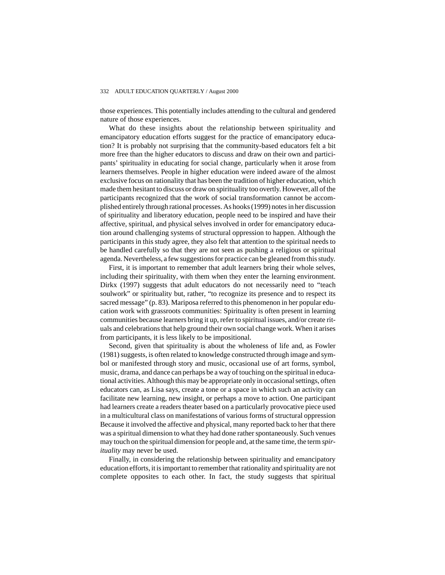those experiences. This potentially includes attending to the cultural and gendered nature of those experiences.

What do these insights about the relationship between spirituality and emancipatory education efforts suggest for the practice of emancipatory education? It is probably not surprising that the community-based educators felt a bit more free than the higher educators to discuss and draw on their own and participants' spirituality in educating for social change, particularly when it arose from learners themselves. People in higher education were indeed aware of the almost exclusive focus on rationality that has been the tradition of higher education, which made them hes itant to discuss or draw on spirituality too overtly. However, all of the participants recognized that the work of social transformation cannot be accomplished entirely through rational processes. As hooks (1999) notes in her discussion of spirituality and liberatory education, people need to be inspired and have their affective, spiritual, and physical selves involved in order for emancipatory education around challenging systems of structural oppression to happen. Although the participants in this study agree, they also felt that attention to the spiritual needs to be handled carefully so that they are not seen as pushing a religious or spiritual agenda. Nevertheless, a few suggestions for practice can be gleaned from this study.

First, it is important to remember that adult learners bring their whole selves, including their spirituality, with them when they enter the learning environment. Dirkx (1997) suggests that adult educators do not necessarily need to "teach soulwork" or spirituality but, rather, "to recognize its presence and to respect its sacred message" (p. 83). Mariposa referred to this phenomenon in her popular education work with grassroots communities: Spirituality is often present in learning communities because learners bring it up, refer to spiritual issues, and/or create rituals and celebrations that help ground their own social change work. When it arises from participants, it is less likely to be impositional.

Second, given that spirituality is about the wholeness of life and, as Fowler  $(1981)$  suggests, is often related to knowledge constructed through image and symbol or manifested through story and music, occasional use of art forms, symbol, music, drama, and dance can perhaps be a way of touching on the spiritual in educational activities. Although this may be appropriate only in occasional settings, often educators can, as Lisa says, create a tone or a space in which such an activity can facilitate new learning, new insight, or perhaps a move to action. One participant had learners create a readers the ater based on a particularly provocative piece used in a multicultural class on manifestations of various forms of structural oppression Because it involved the affective and physical, many reported back to her that there was a spiritual dimension to what they had done rather spontaneously. Such venues may touch on the spiritual dimension for people and, at the same time, the term *spirituality* may never be used.

Finally, in considering the relationship between spirituality and emancipatory education efforts, it is important to remember that rationality and spirituality are not complete opposites to each other. In fact, the study suggests that spiritual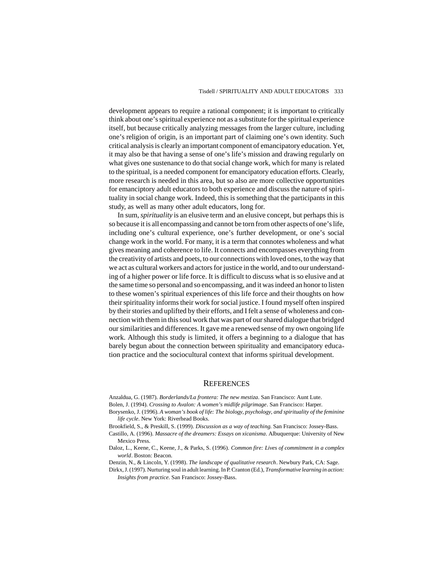development appears to require a rational component; it is important to critically think about one's spiritual experience not as a substitute for the spiritual experience itself, but because critically analyzing messages from the larger culture, including one's religion of origin, is an important part of claiming one's own identity. Such critical analysis is clearly an important component of emancipatory education. Yet, it may also be that having a sense of one's life's mission and drawing regularly on what gives one sustenance to do that social change work, which for many is related to the spiritual, is a needed component for emancipatory education efforts. Clearly, more research is needed in this area, but so also are more collective opportunities for emanciptory adult educators to both experience and discuss the nature of spirituality in social change work. Indeed, this is something that the participants in this study, as well as many other adult educators, long for.

In sum, *spirituality* is an elusive term and an elusive concept, but perhaps this is so because it is all encompassing and cannot be torn from other aspects of one's life, including one's cultural experience, one's further development, or one's social change work in the world. For many, it is a term that connotes wholeness and what gives meaning and coherence to life. It connects and encompasses everything from the creativity of artists and poets, to our connections with loved ones, to the way that we act as cultural workers and actors for justice in the world, and to our understanding of a higher power or life force. It is difficult to discuss what is so elusive and at the same time so personal and so encompassing, and it was indeed an honor to listen to these women's spiritual experiences of this life force and their thoughts on how their spirituality informs their work for social justice. I found myself often inspired by their stories and uplifted by their efforts, and I felt a sense of wholeness and connection with them in this soul work that was part of our shared dialogue that bridged our similarities and differences. It gave me a renewed sense of my own ongoing life work. Although this study is limited, it offers a beginning to a dialogue that has barely begun about the connection between spirituality and emancipatory education practice and the sociocultural context that informs spiritual development.

# **REFERENCES**

Anzaldua, G. (1987). *Borderlands/La frontera: The new mestiza*. San Francisco: Aunt Lute. Bolen, J. (1994). *Crossing to Avalon: A women's midlife pilgrimage*. San Francisco: Harper.

Borysenko, J. (1996). A woman's book of life: The biology, psychology, and spirituality of the feminine life cycle. New York: Riverhead Books.

- Brookfield, S., & Preskill, S. (1999). *Discussion as a way of teaching*. San Francisco: Jossey-Bass.
- Castillo, A. (1996). *Massacre of the dreamers: Essays on xicanisma*. Albuquerque: University of New Mexico Press.
- Daloz, L., Keene, C., Keene, J., & Parks, S. (1996). *Common fire: Lives of commitment in a complex world*. Boston: Beacon.

Denzin, N., & Lincoln, Y. (1998). *The landscape of qualitative research*. Newbury Park, CA: Sage.

Dirkx, J. (1997). Nurturing soul in adult learning. In P. Cranton (Ed.), *Transformative learning in action*: *Insights from practice*. San Francisco: Jossey-Bass.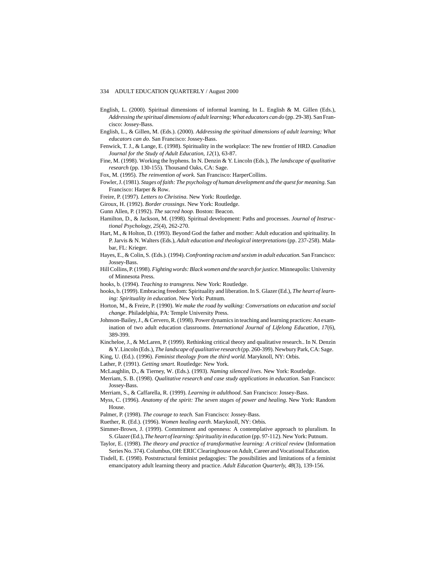- English, L. (2000). Spiritual dimensions of informal learning. In L. English & M. Gillen (Eds.), Addressing the spiritual dimensions of adult learning; What educators can do (pp. 29-38). San Francisco: Jossey-Bass.
- English, L., & Gillen, M. (Eds.). (2000). *Addressing the spiritual dimensions of adult learning; What* educators can do. San Francisco: Jossey-Bass.
- Fenwick, T. J., & Lange, E. (1998). Spirituality in the workplace: The new frontier of HRD. *Canadian Journal for the Study of Adult Education, 12(1), 63-87.*
- Fine, M. (1998). Working the hyphens. In N. Denzin & Y. Lincoln (Eds.), *The landscape of qualitative* research (pp. 130-155). Thousand Oaks, CA: Sage.

Fox, M. (1995). *The reinvention of work*. San Francisco: HarperCollins.

- Fowler, J. (1981). *Stages of faith: The psychology of human development and the quest for meaning*. San Francisco: Harper & Row.
- Freire, P. (1997). *Letters to Christina*. New York: Routledge.
- Giroux, H. (1992). *Bor der cross ings*. New York: Routledge.
- Gunn Allen, P. (1992). *The sacred hoop*. Boston: Beacon.
- Hamilton, D., & Jackson, M. (1998). Spiritual development: Paths and processes. *Journal of Instructional Psy chol ogy*, *25*(4), 262-270.
- Hart, M., & Holton, D. (1993). Beyond God the father and mother: Adult education and spirituality. In P. Jarvis & N. Walters (Eds.), *Adult education and theological interpretations* (pp. 237-258). Malabar, FL: Krieger.
- Hayes, E., & Colin, S. (Eds.). (1994). *Confronting racism and sexism in adult education*. San Francisco: Jossey-Bass.
- Hill Collins, P. (1998). *Fighting words: Black women and the search for justice*. Minneapolis: University of Minnesota Press.
- hooks, b. (1994). *Teaching to trans gress*. New York: Routledge.
- hooks, b. (1999). Embracing freedom: Spirituality and liberation. In S. Glazer (Ed.), *The heart of learn*ing: Spirituality in education. New York: Putnum.
- Horton, M., & Freire, P. (1990). *We make the road by walking: Conversations on education and social change*. Philadelphia, PA: Temple University Press.
- Johnson-Bailey, J., & Cervero, R. (1998). Power dynamics in teaching and learning practices: An examination of two adult education classrooms. *International Journal of Lifelong Education*, 17(6), 389-399.
- Kincheloe, J., & McLaren, P. (1999). Rethinking critical theory and qualitative research.. In N. Denzin & Y. Lincoln (Eds.), *The landscape of qualitative research* (pp. 260-399). Newbury Park, CA: Sage. King, U. (Ed.). (1996). *Feminist theology from the third world*. Maryknoll, NY: Orbis.
- Lather, P. (1991). *Getting smart*. Routledge: New York.
- McLaughlin, D., & Tierney, W. (Eds.). (1993). *Naming silenced lives*. New York: Routledge.
- Merriam, S. B. (1998). *Qualitative research and case study applications in education*. San Francisco: Jossey-Bass.
- Merriam, S., & Caffarella, R. (1999). *Learning in adulthood*. San Francisco: Jossey-Bass.
- Myss, C. (1996). *Anatomy of the spirit: The seven stages of power and healing*. New York: Random House.
- Palmer, P. (1998). *The courage to teach*. San Francisco: Jossey-Bass.
- Ruether, R. (Ed.). (1996). *Women healing earth*. Maryknoll, NY: Orbis.
- Simmer-Brown, J. (1999). Commitment and openness: A contemplative approach to pluralism. In S. Glazer (Ed.), *The heart of learning: Spirituality in education* (pp. 97-112). New York: Putnum.
- Taylor, E. (1998). *The theory and practice of transformative learning: A critical review* (Information Series No. 374). Columbus, OH: ERIC Clearinghouse on Adult, Career and Vocational Education.
- Tisdell, E. (1998). Poststructural feminist pedagogies: The possibilities and limitations of a feminist emancipatory adult learning theory and practice. *Adult Education Quarterly*, 48(3), 139-156.